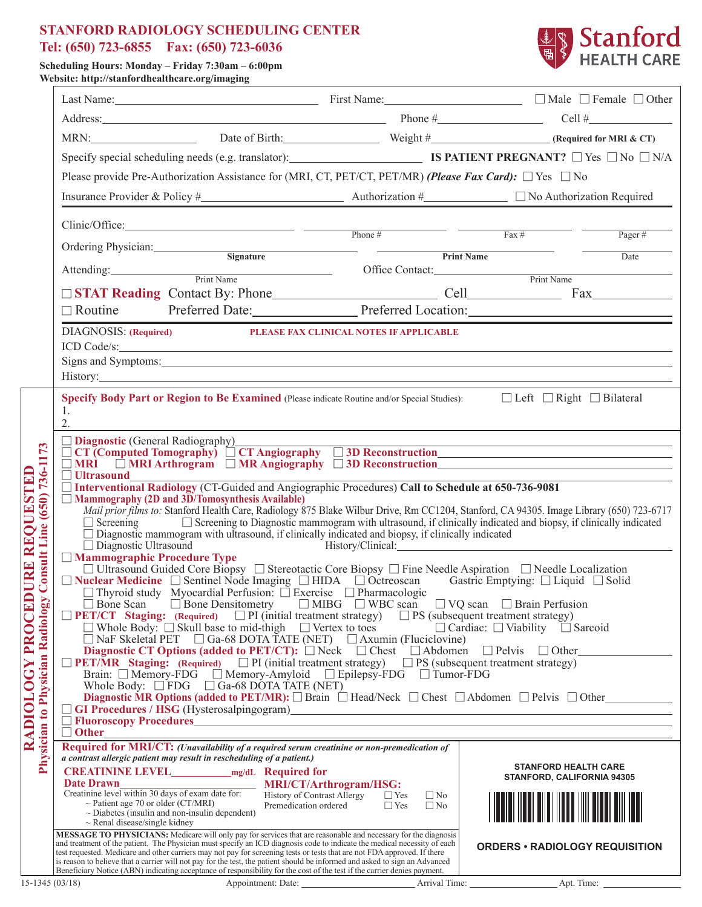## **STANFORD RADIOLOGY SCHEDULING CENTER Tel: (650) 723-6855 Fax: (650) 723-6036**



**Scheduling Hours: Monday – Friday 7:30am – 6:00pm Website: http://stanfordhealthcare.org/imaging**

|                                                                                                               |                                                                                                                                                                                                                                                                                                                                                                                                                                                                                                                                                                                                                                                                                                                                                                                                                                                                                                                                                                                                                                                                                                                                                                                                                                                                                                                                                                                                                                                                                                                                                                                                                                                                                                                                                                                                                                                                                                                                                                                                                                                                                                                                                                                                                                                                                                                                                                                                                                                                                                                                                                                                                                                                                                                                   |                                                                                                |                                                                                                                                                                                                                                |                                      | MRN: Date of Birth: Weight # Weight # (Required for MRI & CT)              |  |  |  |  |  |  |
|---------------------------------------------------------------------------------------------------------------|-----------------------------------------------------------------------------------------------------------------------------------------------------------------------------------------------------------------------------------------------------------------------------------------------------------------------------------------------------------------------------------------------------------------------------------------------------------------------------------------------------------------------------------------------------------------------------------------------------------------------------------------------------------------------------------------------------------------------------------------------------------------------------------------------------------------------------------------------------------------------------------------------------------------------------------------------------------------------------------------------------------------------------------------------------------------------------------------------------------------------------------------------------------------------------------------------------------------------------------------------------------------------------------------------------------------------------------------------------------------------------------------------------------------------------------------------------------------------------------------------------------------------------------------------------------------------------------------------------------------------------------------------------------------------------------------------------------------------------------------------------------------------------------------------------------------------------------------------------------------------------------------------------------------------------------------------------------------------------------------------------------------------------------------------------------------------------------------------------------------------------------------------------------------------------------------------------------------------------------------------------------------------------------------------------------------------------------------------------------------------------------------------------------------------------------------------------------------------------------------------------------------------------------------------------------------------------------------------------------------------------------------------------------------------------------------------------------------------------------|------------------------------------------------------------------------------------------------|--------------------------------------------------------------------------------------------------------------------------------------------------------------------------------------------------------------------------------|--------------------------------------|----------------------------------------------------------------------------|--|--|--|--|--|--|
|                                                                                                               | Specify special scheduling needs (e.g. translator):<br><b>IS PATIENT PREGNANT?</b> $\Box$ Yes $\Box$ No $\Box$ N/A                                                                                                                                                                                                                                                                                                                                                                                                                                                                                                                                                                                                                                                                                                                                                                                                                                                                                                                                                                                                                                                                                                                                                                                                                                                                                                                                                                                                                                                                                                                                                                                                                                                                                                                                                                                                                                                                                                                                                                                                                                                                                                                                                                                                                                                                                                                                                                                                                                                                                                                                                                                                                |                                                                                                |                                                                                                                                                                                                                                |                                      |                                                                            |  |  |  |  |  |  |
|                                                                                                               | Please provide Pre-Authorization Assistance for (MRI, CT, PET/CT, PET/MR) (Please Fax Card): $\Box$ Yes $\Box$ No                                                                                                                                                                                                                                                                                                                                                                                                                                                                                                                                                                                                                                                                                                                                                                                                                                                                                                                                                                                                                                                                                                                                                                                                                                                                                                                                                                                                                                                                                                                                                                                                                                                                                                                                                                                                                                                                                                                                                                                                                                                                                                                                                                                                                                                                                                                                                                                                                                                                                                                                                                                                                 |                                                                                                |                                                                                                                                                                                                                                |                                      |                                                                            |  |  |  |  |  |  |
|                                                                                                               |                                                                                                                                                                                                                                                                                                                                                                                                                                                                                                                                                                                                                                                                                                                                                                                                                                                                                                                                                                                                                                                                                                                                                                                                                                                                                                                                                                                                                                                                                                                                                                                                                                                                                                                                                                                                                                                                                                                                                                                                                                                                                                                                                                                                                                                                                                                                                                                                                                                                                                                                                                                                                                                                                                                                   |                                                                                                |                                                                                                                                                                                                                                |                                      |                                                                            |  |  |  |  |  |  |
|                                                                                                               |                                                                                                                                                                                                                                                                                                                                                                                                                                                                                                                                                                                                                                                                                                                                                                                                                                                                                                                                                                                                                                                                                                                                                                                                                                                                                                                                                                                                                                                                                                                                                                                                                                                                                                                                                                                                                                                                                                                                                                                                                                                                                                                                                                                                                                                                                                                                                                                                                                                                                                                                                                                                                                                                                                                                   |                                                                                                | $Clinic/Office:$ Phone #                                                                                                                                                                                                       |                                      | $\frac{1}{2}$ Fax #<br>Pager#                                              |  |  |  |  |  |  |
|                                                                                                               | Ordering Physician:                                                                                                                                                                                                                                                                                                                                                                                                                                                                                                                                                                                                                                                                                                                                                                                                                                                                                                                                                                                                                                                                                                                                                                                                                                                                                                                                                                                                                                                                                                                                                                                                                                                                                                                                                                                                                                                                                                                                                                                                                                                                                                                                                                                                                                                                                                                                                                                                                                                                                                                                                                                                                                                                                                               |                                                                                                | Signature and the set of the set of the set of the set of the set of the set of the set of the set of the set of the set of the set of the set of the set of the set of the set of the set of the set of the set of the set of |                                      | Print Name<br>Date                                                         |  |  |  |  |  |  |
|                                                                                                               | Attending: Print Name                                                                                                                                                                                                                                                                                                                                                                                                                                                                                                                                                                                                                                                                                                                                                                                                                                                                                                                                                                                                                                                                                                                                                                                                                                                                                                                                                                                                                                                                                                                                                                                                                                                                                                                                                                                                                                                                                                                                                                                                                                                                                                                                                                                                                                                                                                                                                                                                                                                                                                                                                                                                                                                                                                             |                                                                                                |                                                                                                                                                                                                                                |                                      | Office Contact: Print Name                                                 |  |  |  |  |  |  |
|                                                                                                               |                                                                                                                                                                                                                                                                                                                                                                                                                                                                                                                                                                                                                                                                                                                                                                                                                                                                                                                                                                                                                                                                                                                                                                                                                                                                                                                                                                                                                                                                                                                                                                                                                                                                                                                                                                                                                                                                                                                                                                                                                                                                                                                                                                                                                                                                                                                                                                                                                                                                                                                                                                                                                                                                                                                                   |                                                                                                |                                                                                                                                                                                                                                |                                      |                                                                            |  |  |  |  |  |  |
|                                                                                                               |                                                                                                                                                                                                                                                                                                                                                                                                                                                                                                                                                                                                                                                                                                                                                                                                                                                                                                                                                                                                                                                                                                                                                                                                                                                                                                                                                                                                                                                                                                                                                                                                                                                                                                                                                                                                                                                                                                                                                                                                                                                                                                                                                                                                                                                                                                                                                                                                                                                                                                                                                                                                                                                                                                                                   |                                                                                                |                                                                                                                                                                                                                                |                                      | □ Routine Preferred Date: Preferred Location: Preferred Location:          |  |  |  |  |  |  |
|                                                                                                               | DIAGNOSIS: (Required) PLEASE FAX CLINICAL NOTES IF APPLICABLE<br>ICD Code/s:<br>Signs and Symptoms: 1988 and Symptoms: 1988 and Symptoms: 1988 and Symptoms: 1988 and Symptoms: 1988 and Symptoms: 1988 and 2008 and 2008 and 2008 and 2008 and 2008 and 2008 and 2008 and 2008 and 2008 and 2008 and 2008 and                                                                                                                                                                                                                                                                                                                                                                                                                                                                                                                                                                                                                                                                                                                                                                                                                                                                                                                                                                                                                                                                                                                                                                                                                                                                                                                                                                                                                                                                                                                                                                                                                                                                                                                                                                                                                                                                                                                                                                                                                                                                                                                                                                                                                                                                                                                                                                                                                    |                                                                                                |                                                                                                                                                                                                                                |                                      |                                                                            |  |  |  |  |  |  |
|                                                                                                               | <b>Specify Body Part or Region to Be Examined</b> (Please indicate Routine and/or Special Studies): $\Box$ Left $\Box$ Right $\Box$ Bilateral<br>1.<br>$\overline{2}$ .                                                                                                                                                                                                                                                                                                                                                                                                                                                                                                                                                                                                                                                                                                                                                                                                                                                                                                                                                                                                                                                                                                                                                                                                                                                                                                                                                                                                                                                                                                                                                                                                                                                                                                                                                                                                                                                                                                                                                                                                                                                                                                                                                                                                                                                                                                                                                                                                                                                                                                                                                           |                                                                                                |                                                                                                                                                                                                                                |                                      |                                                                            |  |  |  |  |  |  |
| 736-1173<br>RADIOLOGY PROCEDURE REQUESTED<br>(650)<br><b>Consult Line</b><br>Physician to Physician Radiology | <b>Diagnostic</b> (General Radiography)<br><u> 1989 - Johann Barn, amerikansk politiker (d. 1989)</u><br>$\Box$ CT (Computed Tomography) $\Box$ CT Angiography $\Box$ 3D Reconstruction<br>$\Box$ MRI $\Box$ MRI Arthrogram $\Box$ MR Angiography $\Box$ 3D Reconstruction<br>$\Box$ Ultrasound<br>□ Interventional Radiology (CT-Guided and Angiographic Procedures) Call to Schedule at 650-736-9081<br>$\Box$ Mammography (2D and $3D/T$ omosynthesis Available)<br>Mail prior films to: Stanford Health Care, Radiology 875 Blake Wilbur Drive, Rm CC1204, Stanford, CA 94305. Image Library (650) 723-6717<br>$\Box$ Screening $\Box$ Screening to Diagnostic mammogram with ultrasound, if clinically indicated and biopsy, if clinically indicated<br>$\Box$ Diagnostic mammogram with ultrasound, if clinically indicated and biopsy, if clinically indicated<br>$\frac{1}{2}$ History/Clinical: $\frac{1}{2}$ History/Clinical: $\frac{1}{2}$ History/Clinical: $\frac{1}{2}$ History/Clinical: $\frac{1}{2}$ History/Clinical: $\frac{1}{2}$ History/Clinical: $\frac{1}{2}$ History/Clinical: $\frac{1}{2}$ History/Clinica<br>$\Box$ Diagnostic Ultrasound<br>□ Mammographic Procedure Type<br>$\Box$ Ultrasound Guided Core Biopsy $\Box$ Stereotactic Core Biopsy $\Box$ Fine Needle Aspiration $\Box$ Needle Localization<br>$\Box$ Nuclear Medicine $\Box$ Sentinel Node Imaging $\Box$ HIDA $\Box$ Octreoscan Gastric Emptying: $\Box$ Liquid $\Box$ Solid $\Box$ Thyroid study Myocardial Perfusion: $\Box$ Exercise $\Box$ Pharmacologic<br>$\Box$ Bone Densitometry $\Box$ MIBG $\Box$ WBC scan $\Box$ VQ scan $\Box$ Brain Perfusion<br>$\Box$ Bone Scan<br>$\Box$ PET/CT Staging: (Required) $\Box$ PI (initial treatment strategy) $\Box$ PS (subsequent treatment strategy)<br>□ Whole Body: □ Skull base to mid-thigh □ Vertex to toes □ Cardiac: □ Viability □ Sarcoid □ NaF Skeletal PET □ Ga-68 DOTA TATE (NET) □ Axumin (Fluciclovine) □<br>Diagnostic CT Options (added to PET/CT): $\Box$ Neck $\Box$ Chest $\Box$ Abdomen $\Box$ Pelvis $\Box$ Other<br>The Staging: (Required) The Contract State of the Staging: (Required) The Contract State of the Staging: The Contract State of Tumor-FDG Epilepsy-FDG Tumor-FDG<br>Whole Body: $\Box$ FDG $\Box$ Ga-68 DOTA TATE (NET)<br>Diagnostic MR Options (added to PET/MR): $\Box$ Brain $\Box$ Head/Neck $\Box$ Chest $\Box$ Abdomen $\Box$ Pelvis $\Box$ Other<br>$\Box$ GI Procedures / HSG (Hysterosalpingogram)<br>$\Box$ Other $\Box$<br>Required for MRI/CT: (Unavailability of a required serum creatinine or non-premedication of<br>a contrast allergic patient may result in rescheduling of a patient.)<br><b>STANFORD HEALTH CARE</b> |                                                                                                |                                                                                                                                                                                                                                |                                      |                                                                            |  |  |  |  |  |  |
|                                                                                                               | $\sim$ Renal disease/single kidney<br>MESSAGE TO PHYSICIANS: Medicare will only pay for services that are reasonable and necessary for the diagnosis<br>and treatment of the patient. The Physician must specify an ICD diagnosis code to indicate the medical necessity of each<br>and other carriers may not pay for screening tests or tests that are not FDA approved. If there<br>is reason to believe that a carrier will not pay for the test, the patient should be informed and asked to sign an Advanced<br>is<br>Beneficiary Notice (ABN) indicating acceptance of responsibility for the cost of the test if the carrier denies payment.                                                                                                                                                                                                                                                                                                                                                                                                                                                                                                                                                                                                                                                                                                                                                                                                                                                                                                                                                                                                                                                                                                                                                                                                                                                                                                                                                                                                                                                                                                                                                                                                                                                                                                                                                                                                                                                                                                                                                                                                                                                                              | $\sim$ Patient age 70 or older (CT/MRI)<br>$\sim$ Diabetes (insulin and non-insulin dependent) | Date Drawn<br>Creatinine level within 30 days of exam date for: History of Contrast Allergy<br>Tyes<br>Premedication ordered                                                                                                   | $\Box$ No<br>$\Box$ Yes<br>$\Box$ No | <b>STANFORD, CALIFORNIA 94305</b><br><b>ORDERS • RADIOLOGY REQUISITION</b> |  |  |  |  |  |  |
| $15-1345(03/18)$                                                                                              |                                                                                                                                                                                                                                                                                                                                                                                                                                                                                                                                                                                                                                                                                                                                                                                                                                                                                                                                                                                                                                                                                                                                                                                                                                                                                                                                                                                                                                                                                                                                                                                                                                                                                                                                                                                                                                                                                                                                                                                                                                                                                                                                                                                                                                                                                                                                                                                                                                                                                                                                                                                                                                                                                                                                   |                                                                                                |                                                                                                                                                                                                                                |                                      |                                                                            |  |  |  |  |  |  |